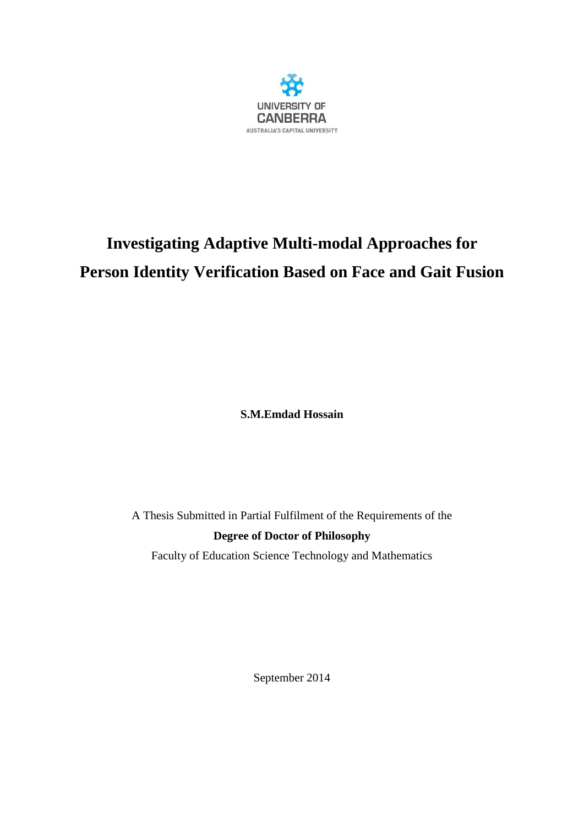

# **Investigating Adaptive Multi-modal Approaches for Person Identity Verification Based on Face and Gait Fusion**

**S.M.Emdad Hossain**

A Thesis Submitted in Partial Fulfilment of the Requirements of the **Degree of Doctor of Philosophy**

Faculty of Education Science Technology and Mathematics

September 2014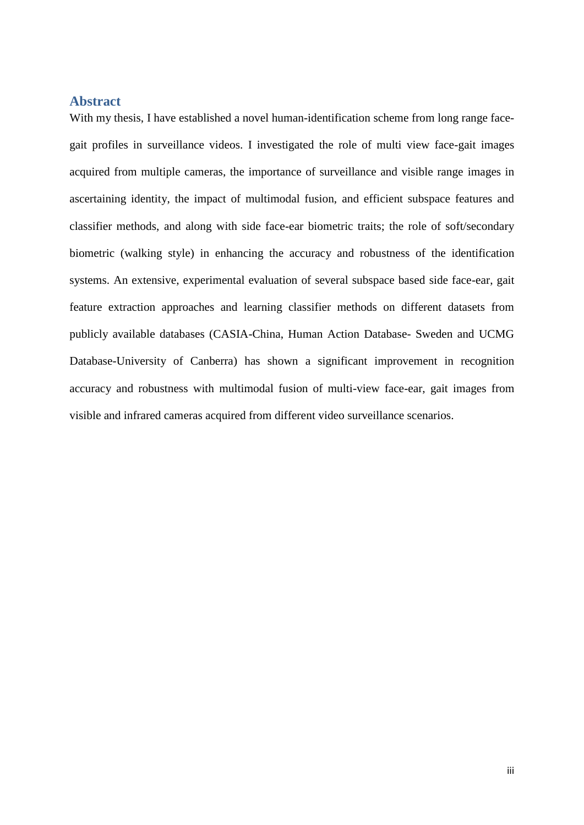#### **Abstract**

With my thesis, I have established a novel human-identification scheme from long range facegait profiles in surveillance videos. I investigated the role of multi view face-gait images acquired from multiple cameras, the importance of surveillance and visible range images in ascertaining identity, the impact of multimodal fusion, and efficient subspace features and classifier methods, and along with side face-ear biometric traits; the role of soft/secondary biometric (walking style) in enhancing the accuracy and robustness of the identification systems. An extensive, experimental evaluation of several subspace based side face-ear, gait feature extraction approaches and learning classifier methods on different datasets from publicly available databases (CASIA-China, Human Action Database- Sweden and UCMG Database-University of Canberra) has shown a significant improvement in recognition accuracy and robustness with multimodal fusion of multi-view face-ear, gait images from visible and infrared cameras acquired from different video surveillance scenarios.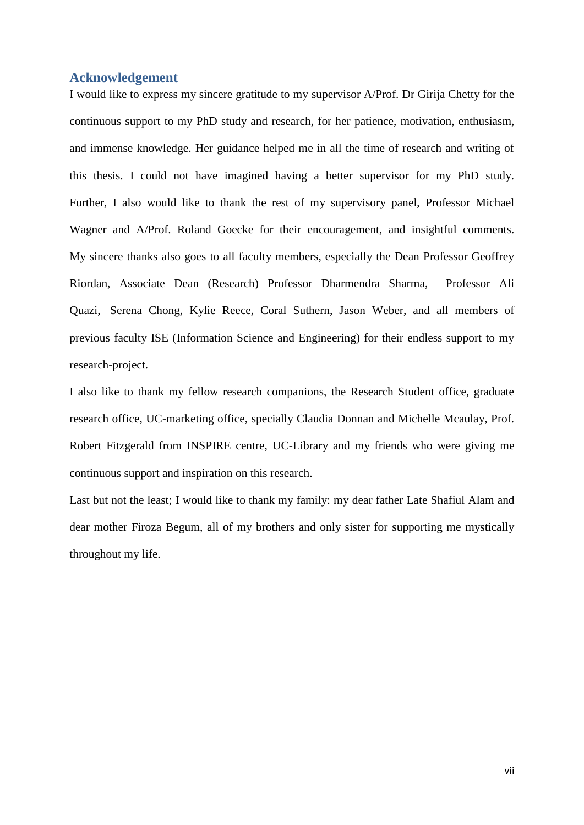#### **Acknowledgement**

I would like to express my sincere gratitude to my supervisor A/Prof. Dr Girija Chetty for the continuous support to my PhD study and research, for her patience, motivation, enthusiasm, and immense knowledge. Her guidance helped me in all the time of research and writing of this thesis. I could not have imagined having a better supervisor for my PhD study. Further, I also would like to thank the rest of my supervisory panel, Professor Michael Wagner and A/Prof. Roland Goecke for their encouragement, and insightful comments. My sincere thanks also goes to all faculty members, especially the Dean Professor Geoffrey Riordan, Associate Dean (Research) Professor Dharmendra Sharma, Professor Ali Quazi, Serena Chong, Kylie Reece, Coral Suthern, Jason Weber, and all members of previous faculty ISE (Information Science and Engineering) for their endless support to my research-project.

I also like to thank my fellow research companions, the Research Student office, graduate research office, UC-marketing office, specially Claudia Donnan and Michelle Mcaulay, Prof. Robert Fitzgerald from INSPIRE centre, UC-Library and my friends who were giving me continuous support and inspiration on this research.

Last but not the least; I would like to thank my family: my dear father Late Shafiul Alam and dear mother Firoza Begum, all of my brothers and only sister for supporting me mystically throughout my life.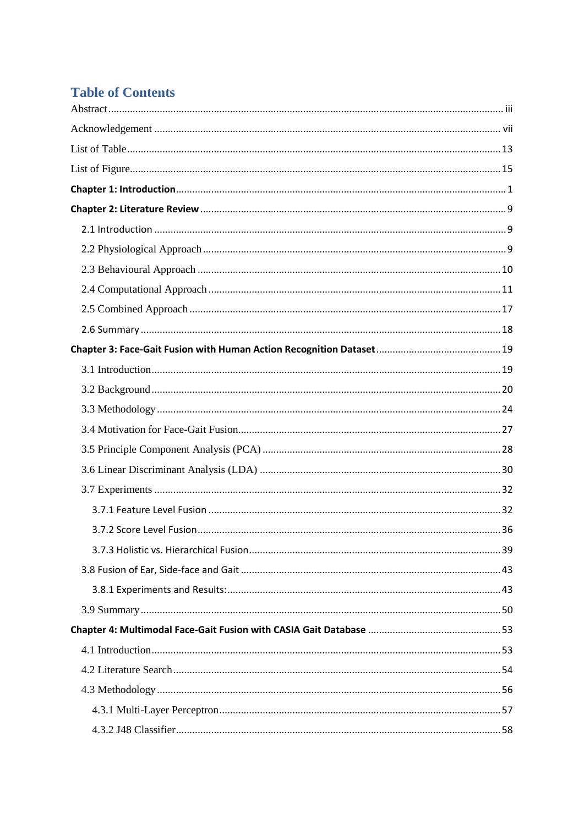## **Table of Contents**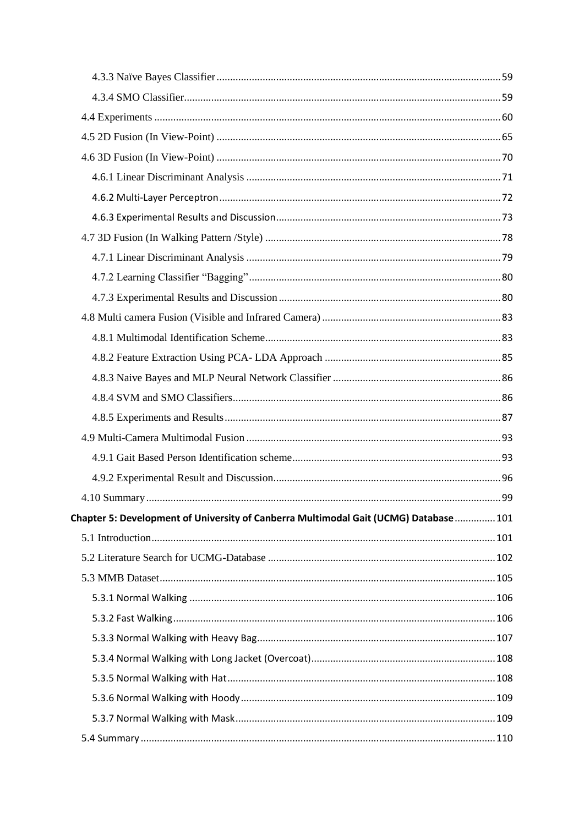| Chapter 5: Development of University of Canberra Multimodal Gait (UCMG) Database  101 |  |
|---------------------------------------------------------------------------------------|--|
|                                                                                       |  |
|                                                                                       |  |
|                                                                                       |  |
|                                                                                       |  |
|                                                                                       |  |
|                                                                                       |  |
|                                                                                       |  |
|                                                                                       |  |
|                                                                                       |  |
|                                                                                       |  |
|                                                                                       |  |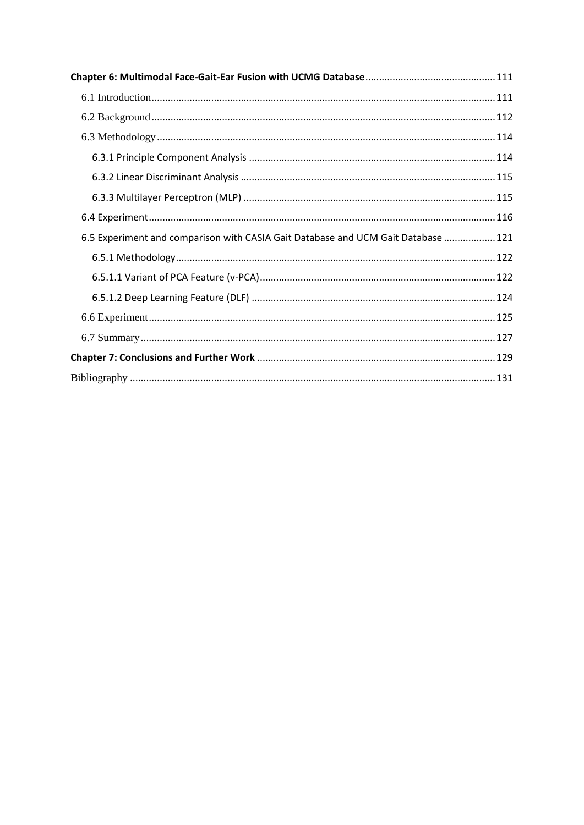| 6.5 Experiment and comparison with CASIA Gait Database and UCM Gait Database  121 |  |
|-----------------------------------------------------------------------------------|--|
|                                                                                   |  |
|                                                                                   |  |
|                                                                                   |  |
|                                                                                   |  |
|                                                                                   |  |
|                                                                                   |  |
|                                                                                   |  |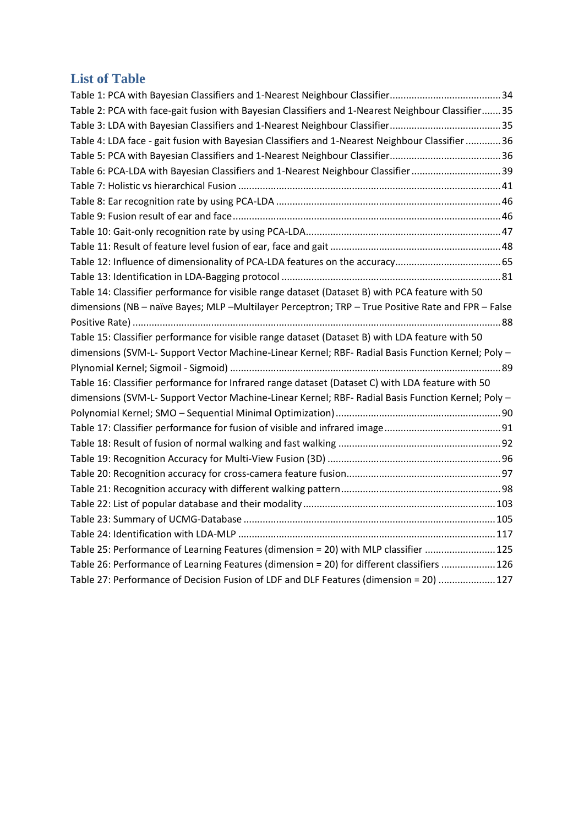### <span id="page-6-0"></span>**List of Table**

| Table 2: PCA with face-gait fusion with Bayesian Classifiers and 1-Nearest Neighbour Classifier 35 |  |
|----------------------------------------------------------------------------------------------------|--|
|                                                                                                    |  |
| Table 4: LDA face - gait fusion with Bayesian Classifiers and 1-Nearest Neighbour Classifier  36   |  |
|                                                                                                    |  |
| Table 6: PCA-LDA with Bayesian Classifiers and 1-Nearest Neighbour Classifier 39                   |  |
|                                                                                                    |  |
|                                                                                                    |  |
|                                                                                                    |  |
|                                                                                                    |  |
|                                                                                                    |  |
|                                                                                                    |  |
|                                                                                                    |  |
| Table 14: Classifier performance for visible range dataset (Dataset B) with PCA feature with 50    |  |
| dimensions (NB - naïve Bayes; MLP -Multilayer Perceptron; TRP - True Positive Rate and FPR - False |  |
|                                                                                                    |  |
| Table 15: Classifier performance for visible range dataset (Dataset B) with LDA feature with 50    |  |
| dimensions (SVM-L- Support Vector Machine-Linear Kernel; RBF- Radial Basis Function Kernel; Poly - |  |
|                                                                                                    |  |
| Table 16: Classifier performance for Infrared range dataset (Dataset C) with LDA feature with 50   |  |
| dimensions (SVM-L- Support Vector Machine-Linear Kernel; RBF- Radial Basis Function Kernel; Poly - |  |
|                                                                                                    |  |
|                                                                                                    |  |
|                                                                                                    |  |
|                                                                                                    |  |
|                                                                                                    |  |
|                                                                                                    |  |
|                                                                                                    |  |
|                                                                                                    |  |
|                                                                                                    |  |
| Table 25: Performance of Learning Features (dimension = 20) with MLP classifier  125               |  |
| Table 26: Performance of Learning Features (dimension = 20) for different classifiers  126         |  |
| Table 27: Performance of Decision Fusion of LDF and DLF Features (dimension = 20)  127             |  |